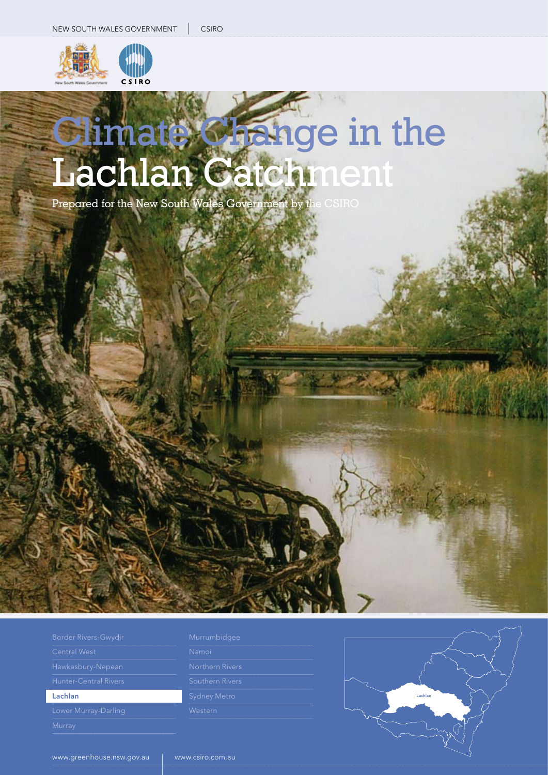

# Climate Change in the Lachlan Catchment

Prepared for the New South Wales Government by the CSIRO

| Border Rivers-Gwydir  |
|-----------------------|
| <b>Central West</b>   |
| Hawkesbury-Nepean     |
| Hunter-Central Rivers |
| Lachlan               |
| Lower Murray-Darling  |
| Murrav                |

| Murrumbidge |  |  |  |
|-------------|--|--|--|
|             |  |  |  |
|             |  |  |  |

| Namoi               |
|---------------------|
| Northern Rivers     |
| Southern Rivers     |
| <b>Sydney Metro</b> |
| Western             |
|                     |

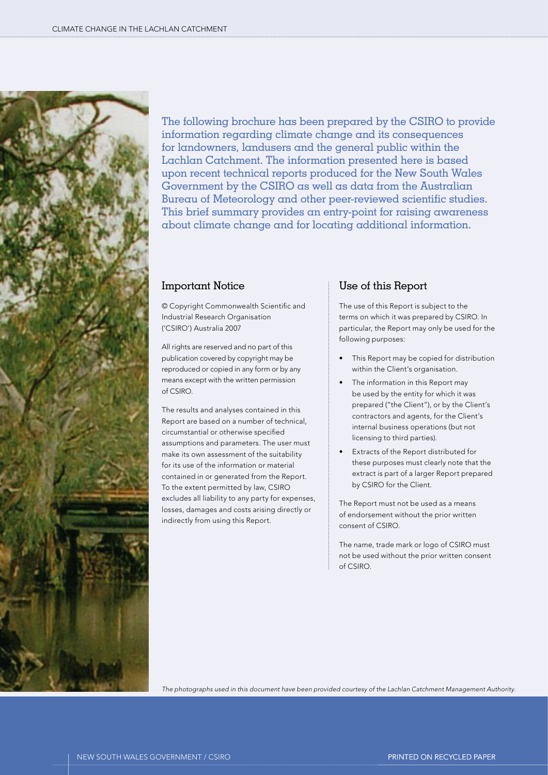

The following brochure has been prepared by the CSIRO to provide information regarding climate change and its consequences for landowners, landusers and the general public within the Lachlan Catchment. The information presented here is based upon recent technical reports produced for the New South Wales Government by the CSIRO as well as data from the Australian Bureau of Meteorology and other peer-reviewed scientific studies. This brief summary provides an entry-point for raising awareness about climate change and for locating additional information.

### Important Notice

© Copyright Commonwealth Scientific and Industrial Research Organisation ('CSIRO') Australia 2007

All rights are reserved and no part of this publication covered by copyright may be reproduced or copied in any form or by any means except with the written permission of CSIRO.

The results and analyses contained in this Report are based on a number of technical, circumstantial or otherwise specified assumptions and parameters. The user must make its own assessment of the suitability for its use of the information or material contained in or generated from the Report. To the extent permitted by law, CSIRO excludes all liability to any party for expenses, losses, damages and costs arising directly or indirectly from using this Report.

### Use of this Report

The use of this Report is subject to the terms on which it was prepared by CSIRO. In particular, the Report may only be used for the following purposes:

- This Report may be copied for distribution within the Client's organisation.
- The information in this Report may be used by the entity for which it was prepared ("the Client"), or by the Client's contractors and agents, for the Client's internal business operations (but not licensing to third parties).
- Extracts of the Report distributed for these purposes must clearly note that the extract is part of a larger Report prepared by CSIRO for the Client.

The Report must not be used as a means of endorsement without the prior written consent of CSIRO.

The name, trade mark or logo of CSIRO must not be used without the prior written consent of CSIRO.

*The photographs used in this document have been provided courtesy of the Lachlan Catchment Management Authority.*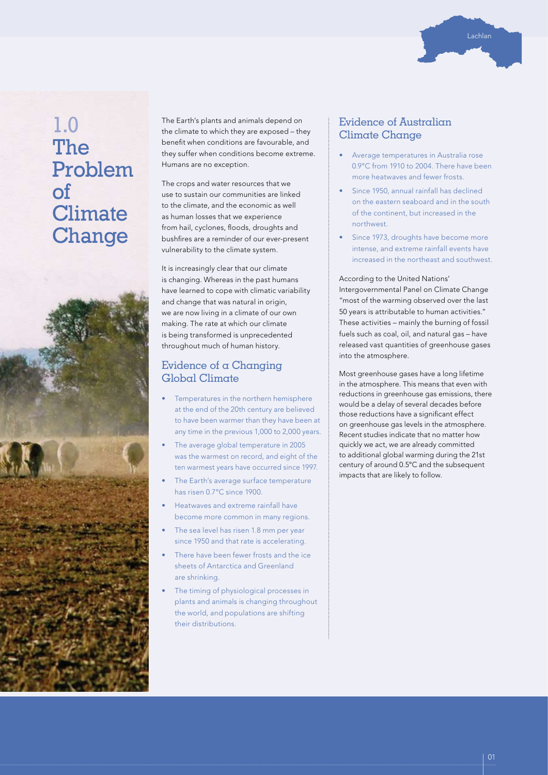

# 1.0 The Problem of **Climate Change**



The Earth's plants and animals depend on the climate to which they are exposed – they benefit when conditions are favourable, and they suffer when conditions become extreme. Humans are no exception.

The crops and water resources that we use to sustain our communities are linked to the climate, and the economic as well as human losses that we experience from hail, cyclones, floods, droughts and bushfires are a reminder of our ever-present vulnerability to the climate system.

It is increasingly clear that our climate is changing. Whereas in the past humans have learned to cope with climatic variability and change that was natural in origin, we are now living in a climate of our own making. The rate at which our climate is being transformed is unprecedented throughout much of human history.

### Evidence of a Changing Global Climate

- Temperatures in the northern hemisphere at the end of the 20th century are believed to have been warmer than they have been at any time in the previous 1,000 to 2,000 years.
- The average global temperature in 2005 was the warmest on record, and eight of the ten warmest years have occurred since 1997.
- The Earth's average surface temperature has risen 0.7°C since 1900.
- Heatwaves and extreme rainfall have become more common in many regions.
- The sea level has risen 1.8 mm per year since 1950 and that rate is accelerating.
- There have been fewer frosts and the ice sheets of Antarctica and Greenland are shrinking.
- The timing of physiological processes in plants and animals is changing throughout the world, and populations are shifting their distributions.

### Evidence of Australian Climate Change

- Average temperatures in Australia rose 0.9°C from 1910 to 2004. There have been more heatwaves and fewer frosts.
- Since 1950, annual rainfall has declined on the eastern seaboard and in the south of the continent, but increased in the northwest.
- Since 1973, droughts have become more intense, and extreme rainfall events have increased in the northeast and southwest.

According to the United Nations' Intergovernmental Panel on Climate Change "most of the warming observed over the last 50 years is attributable to human activities." These activities – mainly the burning of fossil fuels such as coal, oil, and natural gas – have released vast quantities of greenhouse gases into the atmosphere.

Most greenhouse gases have a long lifetime in the atmosphere. This means that even with reductions in greenhouse gas emissions, there would be a delay of several decades before those reductions have a significant effect on greenhouse gas levels in the atmosphere. Recent studies indicate that no matter how quickly we act, we are already committed to additional global warming during the 21st century of around 0.5°C and the subsequent impacts that are likely to follow.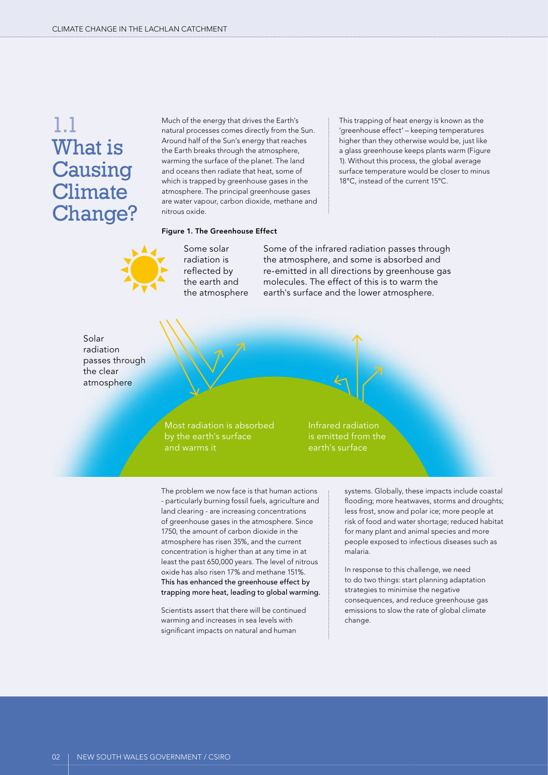# 1.1 What is Causing **Climate** Change?

Much of the energy that drives the Earth's natural processes comes directly from the Sun. Around half of the Sun's energy that reaches the Earth breaks through the atmosphere, warming the surface of the planet. The land and oceans then radiate that heat, some of which is trapped by greenhouse gases in the atmosphere. The principal greenhouse gases are water vapour, carbon dioxide, methane and nitrous oxide.

This trapping of heat energy is known as the 'greenhouse effect' – keeping temperatures higher than they otherwise would be, just like a glass greenhouse keeps plants warm (Figure 1). Without this process, the global average surface temperature would be closer to minus 18°C, instead of the current 15°C.

### Figure 1. The Greenhouse Effect



Some solar radiation is reflected by the earth and the atmosphere Some of the infrared radiation passes through the atmosphere, and some is absorbed and re-emitted in all directions by greenhouse gas molecules. The effect of this is to warm the earth's surface and the lower atmosphere.

Solar radiation passes through the clear atmosphere



Infrared radiation is emitted from the earth's surface

The problem we now face is that human actions - particularly burning fossil fuels, agriculture and land clearing - are increasing concentrations of greenhouse gases in the atmosphere. Since 1750, the amount of carbon dioxide in the atmosphere has risen 35%, and the current concentration is higher than at any time in at least the past 650,000 years. The level of nitrous oxide has also risen 17% and methane 151%. This has enhanced the greenhouse effect by trapping more heat, leading to global warming.

Scientists assert that there will be continued warming and increases in sea levels with significant impacts on natural and human

systems. Globally, these impacts include coastal flooding; more heatwaves, storms and droughts; less frost, snow and polar ice; more people at risk of food and water shortage; reduced habitat for many plant and animal species and more people exposed to infectious diseases such as malaria.

In response to this challenge, we need to do two things: start planning adaptation strategies to minimise the negative consequences, and reduce greenhouse gas emissions to slow the rate of global climate change.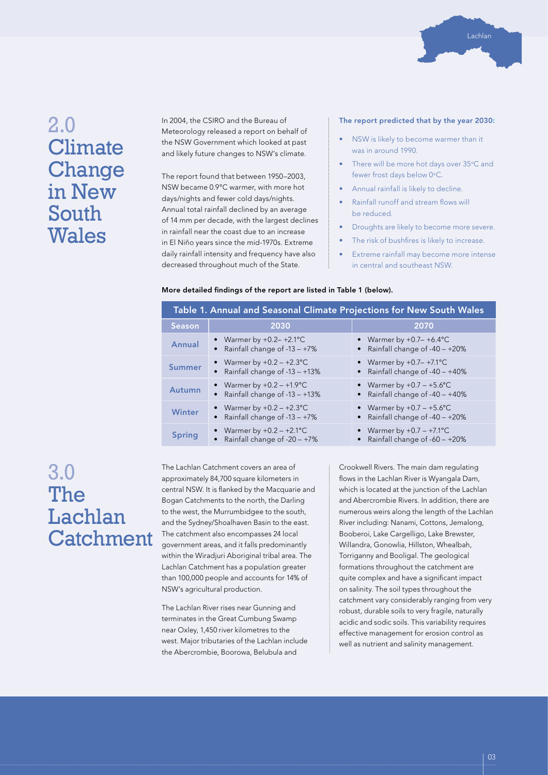

# 2.0 **Climate Change** in New South **Wales**

In 2004, the CSIRO and the Bureau of Meteorology released a report on behalf of the NSW Government which looked at past and likely future changes to NSW's climate.

The report found that between 1950–2003, NSW became 0.9°C warmer, with more hot days/nights and fewer cold days/nights. Annual total rainfall declined by an average of 14 mm per decade, with the largest declines in rainfall near the coast due to an increase in El Niño years since the mid-1970s. Extreme daily rainfall intensity and frequency have also decreased throughout much of the State.

#### The report predicted that by the year 2030:

- NSW is likely to become warmer than it was in around 1990.
- There will be more hot days over 35°C and fewer frost days below 0°C.
- Annual rainfall is likely to decline.
- Rainfall runoff and stream flows will be reduced.
- Droughts are likely to become more severe.
- The risk of bushfires is likely to increase.
- Extreme rainfall may become more intense in central and southeast NSW.

#### More detailed findings of the report are listed in Table 1 (below).

| Table 1. Annual and Seasonal Climate Projections for New South Wales |                                                                  |                                                                      |  |  |  |  |
|----------------------------------------------------------------------|------------------------------------------------------------------|----------------------------------------------------------------------|--|--|--|--|
| <b>Season</b>                                                        | 2030                                                             | 2070                                                                 |  |  |  |  |
| Annual                                                               | • Warmer by $+0.2-+2.1$ °C<br>Rainfall change of $-13 - +7\%$    | Warmer by $+0.7-+6.4$ °C<br>Rainfall change of $-40 - +20\%$         |  |  |  |  |
| Summer                                                               | • Warmer by $+0.2 - +2.3$ °C<br>Rainfall change of $-13 - +13\%$ | • Warmer by $+0.7-+7.1^{\circ}C$<br>Rainfall change of $-40 - +40\%$ |  |  |  |  |
| Autumn                                                               | • Warmer by $+0.2 - +1.9$ °C<br>Rainfall change of -13 - +13%    | • Warmer by $+0.7 - +5.6$ °C<br>Rainfall change of -40 - +40%        |  |  |  |  |
| <b>Winter</b>                                                        | • Warmer by $+0.2 - +2.3$ °C<br>Rainfall change of $-13 - +7\%$  | • Warmer by $+0.7 - +5.6$ °C<br>Rainfall change of $-40 - +20\%$     |  |  |  |  |
| <b>Spring</b>                                                        | • Warmer by $+0.2 - +2.1$ °C<br>Rainfall change of $-20 - +7\%$  | Warmer by $+0.7 - +7.1$ °C<br>Rainfall change of -60 - +20%          |  |  |  |  |

# 3.0 The Lachlan **Catchment**

The Lachlan Catchment covers an area of approximately 84,700 square kilometers in central NSW. It is flanked by the Macquarie and Bogan Catchments to the north, the Darling to the west, the Murrumbidgee to the south, and the Sydney/Shoalhaven Basin to the east. The catchment also encompasses 24 local government areas, and it falls predominantly within the Wiradjuri Aboriginal tribal area. The Lachlan Catchment has a population greater than 100,000 people and accounts for 14% of NSW's agricultural production.

The Lachlan River rises near Gunning and terminates in the Great Cumbung Swamp near Oxley, 1,450 river kilometres to the west. Major tributaries of the Lachlan include the Abercrombie, Boorowa, Belubula and

Crookwell Rivers. The main dam regulating flows in the Lachlan River is Wyangala Dam, which is located at the junction of the Lachlan and Abercrombie Rivers. In addition, there are numerous weirs along the length of the Lachlan River including: Nanami, Cottons, Jemalong, Booberoi, Lake Cargelligo, Lake Brewster, Willandra, Gonowlia, Hillston, Whealbah, Torriganny and Booligal. The geological formations throughout the catchment are quite complex and have a significant impact on salinity. The soil types throughout the catchment vary considerably ranging from very robust, durable soils to very fragile, naturally acidic and sodic soils. This variability requires effective management for erosion control as well as nutrient and salinity management.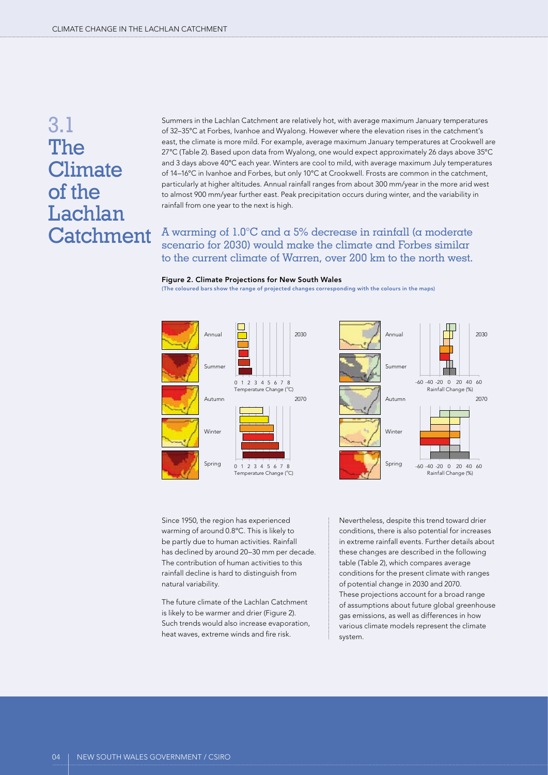# 3.1 The **Climate** of the Lachlan **Catchment**

Summers in the Lachlan Catchment are relatively hot, with average maximum January temperatures of 32–35°C at Forbes, Ivanhoe and Wyalong. However where the elevation rises in the catchment's east, the climate is more mild. For example, average maximum January temperatures at Crookwell are 27°C (Table 2). Based upon data from Wyalong, one would expect approximately 26 days above 35ºC and 3 days above 40°C each year. Winters are cool to mild, with average maximum July temperatures of 14–16°C in Ivanhoe and Forbes, but only 10°C at Crookwell. Frosts are common in the catchment, particularly at higher altitudes. Annual rainfall ranges from about 300 mm/year in the more arid west to almost 900 mm/year further east. Peak precipitation occurs during winter, and the variability in rainfall from one year to the next is high.

A warming of 1.0°C and a 5% decrease in rainfall (a moderate scenario for 2030) would make the climate and Forbes similar to the current climate of Warren, over 200 km to the north west.

#### Figure 2. Climate Projections for New South Wales

(The coloured bars show the range of projected changes corresponding with the colours in the maps)



Since 1950, the region has experienced warming of around 0.8ºC. This is likely to be partly due to human activities. Rainfall has declined by around 20–30 mm per decade. The contribution of human activities to this rainfall decline is hard to distinguish from natural variability.

The future climate of the Lachlan Catchment is likely to be warmer and drier (Figure 2). Such trends would also increase evaporation, heat waves, extreme winds and fire risk.

Nevertheless, despite this trend toward drier conditions, there is also potential for increases in extreme rainfall events. Further details about these changes are described in the following table (Table 2), which compares average conditions for the present climate with ranges of potential change in 2030 and 2070. These projections account for a broad range of assumptions about future global greenhouse gas emissions, as well as differences in how various climate models represent the climate system.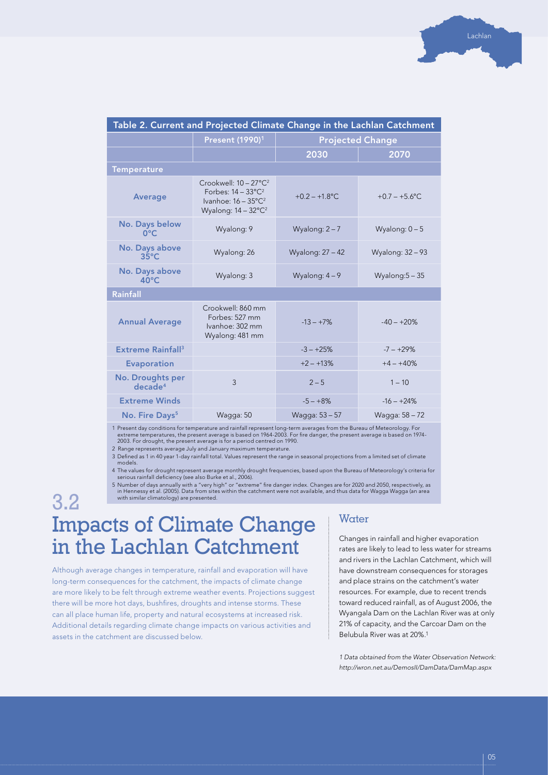| Table 2. Current and Projected Climate Change in the Lachlan Catchment |                                                                                                                                     |                         |                   |  |  |  |
|------------------------------------------------------------------------|-------------------------------------------------------------------------------------------------------------------------------------|-------------------------|-------------------|--|--|--|
|                                                                        | Present (1990) <sup>1</sup>                                                                                                         | <b>Projected Change</b> |                   |  |  |  |
|                                                                        |                                                                                                                                     | 2030                    | 2070              |  |  |  |
| <b>Temperature</b>                                                     |                                                                                                                                     |                         |                   |  |  |  |
| <b>Average</b>                                                         | Crookwell: $10 - 27^{\circ}C^2$<br>Forbes: $14 - 33^{\circ}C^2$<br>Ivanhoe: $16 - 35^{\circ}C^2$<br>Wyalong: 14 - 32°C <sup>2</sup> | $+0.2 - +1.8$ °C        | $+0.7 - +5.6$ °C  |  |  |  |
| No. Days below<br>$0^{\circ}$ C                                        | Wyalong: 9                                                                                                                          | Wyalong: $2 - 7$        | Wyalong: $0 - 5$  |  |  |  |
| No. Days above<br>$35^{\circ}$ C                                       | Wyalong: 26                                                                                                                         | Wyalong: 27 - 42        | Wyalong: 32 - 93  |  |  |  |
| No. Days above<br>$40^{\circ}$ C                                       | Wyalong: 3                                                                                                                          | Wyalong: $4-9$          | Wyalong: $5 - 35$ |  |  |  |
| Rainfall                                                               |                                                                                                                                     |                         |                   |  |  |  |
| <b>Annual Average</b>                                                  | Crookwell: 860 mm<br>Forbes: 527 mm<br>Ivanhoe: 302 mm<br>Wyalong: 481 mm                                                           | $-13 - +7%$             | $-40 - +20%$      |  |  |  |
| Extreme Rainfall <sup>3</sup>                                          |                                                                                                                                     | $-3 - +25%$             | $-7 - +29%$       |  |  |  |
| <b>Evaporation</b>                                                     |                                                                                                                                     | $+2 - +13%$             | $+4 - +40%$       |  |  |  |
| No. Droughts per<br>decade <sup>4</sup>                                | $\overline{3}$                                                                                                                      | $2 - 5$                 | $1 - 10$          |  |  |  |
| <b>Extreme Winds</b>                                                   |                                                                                                                                     | $-5 - +8%$              | $-16 - +24%$      |  |  |  |
| No. Fire Days <sup>5</sup>                                             | Wagga: 50                                                                                                                           | Wagga: 53 - 57          | Wagga: 58 - 72    |  |  |  |
|                                                                        | the contract of the con-                                                                                                            |                         |                   |  |  |  |

1 Present day conditions for temperature and rainfall represent long-term averages from the Bureau of Meteorology. For<br>extreme temperatures, the present average is based on 1964-2003. For fire danger, the present average i

2 Range represents average July and January maximum temperature.

3 Defined as 1 in 40 year 1-day rainfall total. Values represent the range in seasonal projections from a limited set of climate models.

4 The values for drought represent average monthly drought frequencies, based upon the Bureau of Meteorology's criteria for serious rainfall deficiency (see also Burke et al., 2006).

5 Number of days annually with a "very high" or "extreme" fire danger index. Changes are for 2020 and 2050, respectively, as<br>in Hennessy et al. (2005). Data from sites within the catchment were not available, and thus data

3.2

# Impacts of Climate Change in the Lachlan Catchment

Although average changes in temperature, rainfall and evaporation will have long-term consequences for the catchment, the impacts of climate change are more likely to be felt through extreme weather events. Projections suggest there will be more hot days, bushfires, droughts and intense storms. These can all place human life, property and natural ecosystems at increased risk. Additional details regarding climate change impacts on various activities and assets in the catchment are discussed below.

### **Water**

Changes in rainfall and higher evaporation rates are likely to lead to less water for streams and rivers in the Lachlan Catchment, which will have downstream consequences for storages and place strains on the catchment's water resources. For example, due to recent trends toward reduced rainfall, as of August 2006, the Wyangala Dam on the Lachlan River was at only 21% of capacity, and the Carcoar Dam on the Belubula River was at 20%.1

*1 Data obtained from the Water Observation Network: http://wron.net.au/DemosII/DamData/DamMap.aspx*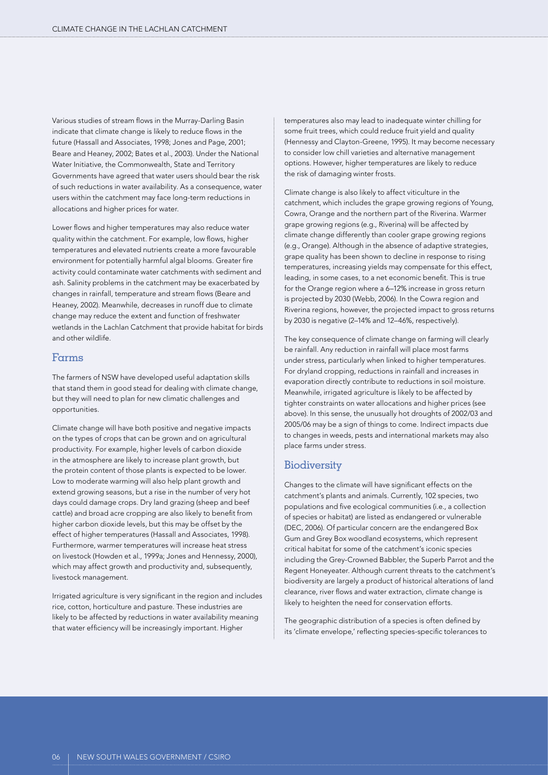Various studies of stream flows in the Murray-Darling Basin indicate that climate change is likely to reduce flows in the future (Hassall and Associates, 1998; Jones and Page, 2001; Beare and Heaney, 2002; Bates et al., 2003). Under the National Water Initiative, the Commonwealth, State and Territory Governments have agreed that water users should bear the risk of such reductions in water availability. As a consequence, water users within the catchment may face long-term reductions in allocations and higher prices for water.

Lower flows and higher temperatures may also reduce water quality within the catchment. For example, low flows, higher temperatures and elevated nutrients create a more favourable environment for potentially harmful algal blooms. Greater fire activity could contaminate water catchments with sediment and ash. Salinity problems in the catchment may be exacerbated by changes in rainfall, temperature and stream flows (Beare and Heaney, 2002). Meanwhile, decreases in runoff due to climate change may reduce the extent and function of freshwater wetlands in the Lachlan Catchment that provide habitat for birds and other wildlife.

### Farms

The farmers of NSW have developed useful adaptation skills that stand them in good stead for dealing with climate change, but they will need to plan for new climatic challenges and opportunities.

Climate change will have both positive and negative impacts on the types of crops that can be grown and on agricultural productivity. For example, higher levels of carbon dioxide in the atmosphere are likely to increase plant growth, but the protein content of those plants is expected to be lower. Low to moderate warming will also help plant growth and extend growing seasons, but a rise in the number of very hot days could damage crops. Dry land grazing (sheep and beef cattle) and broad acre cropping are also likely to benefit from higher carbon dioxide levels, but this may be offset by the effect of higher temperatures (Hassall and Associates, 1998). Furthermore, warmer temperatures will increase heat stress on livestock (Howden et al., 1999a; Jones and Hennessy, 2000), which may affect growth and productivity and, subsequently, livestock management.

Irrigated agriculture is very significant in the region and includes rice, cotton, horticulture and pasture. These industries are likely to be affected by reductions in water availability meaning that water efficiency will be increasingly important. Higher

temperatures also may lead to inadequate winter chilling for some fruit trees, which could reduce fruit yield and quality (Hennessy and Clayton-Greene, 1995). It may become necessary to consider low chill varieties and alternative management options. However, higher temperatures are likely to reduce the risk of damaging winter frosts.

Climate change is also likely to affect viticulture in the catchment, which includes the grape growing regions of Young, Cowra, Orange and the northern part of the Riverina. Warmer grape growing regions (e.g., Riverina) will be affected by climate change differently than cooler grape growing regions (e.g., Orange). Although in the absence of adaptive strategies, grape quality has been shown to decline in response to rising temperatures, increasing yields may compensate for this effect, leading, in some cases, to a net economic benefit. This is true for the Orange region where a 6–12% increase in gross return is projected by 2030 (Webb, 2006). In the Cowra region and Riverina regions, however, the projected impact to gross returns by 2030 is negative (2–14% and 12–46%, respectively).

The key consequence of climate change on farming will clearly be rainfall. Any reduction in rainfall will place most farms under stress, particularly when linked to higher temperatures. For dryland cropping, reductions in rainfall and increases in evaporation directly contribute to reductions in soil moisture. Meanwhile, irrigated agriculture is likely to be affected by tighter constraints on water allocations and higher prices (see above). In this sense, the unusually hot droughts of 2002/03 and 2005/06 may be a sign of things to come. Indirect impacts due to changes in weeds, pests and international markets may also place farms under stress.

### **Biodiversity**

Changes to the climate will have significant effects on the catchment's plants and animals. Currently, 102 species, two populations and five ecological communities (i.e., a collection of species or habitat) are listed as endangered or vulnerable (DEC, 2006). Of particular concern are the endangered Box Gum and Grey Box woodland ecosystems, which represent critical habitat for some of the catchment's iconic species including the Grey-Crowned Babbler, the Superb Parrot and the Regent Honeyeater. Although current threats to the catchment's biodiversity are largely a product of historical alterations of land clearance, river flows and water extraction, climate change is likely to heighten the need for conservation efforts.

The geographic distribution of a species is often defined by its 'climate envelope,' reflecting species-specific tolerances to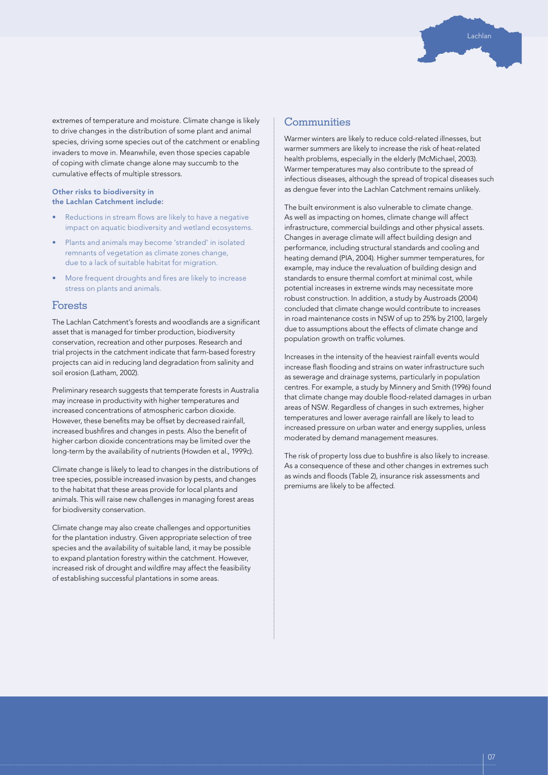extremes of temperature and moisture. Climate change is likely to drive changes in the distribution of some plant and animal species, driving some species out of the catchment or enabling invaders to move in. Meanwhile, even those species capable of coping with climate change alone may succumb to the cumulative effects of multiple stressors.

#### Other risks to biodiversity in the Lachlan Catchment include:

- Reductions in stream flows are likely to have a negative impact on aquatic biodiversity and wetland ecosystems.
- Plants and animals may become 'stranded' in isolated remnants of vegetation as climate zones change, due to a lack of suitable habitat for migration.
- More frequent droughts and fires are likely to increase stress on plants and animals.

### Forests

The Lachlan Catchment's forests and woodlands are a significant asset that is managed for timber production, biodiversity conservation, recreation and other purposes. Research and trial projects in the catchment indicate that farm-based forestry projects can aid in reducing land degradation from salinity and soil erosion (Latham, 2002).

Preliminary research suggests that temperate forests in Australia may increase in productivity with higher temperatures and increased concentrations of atmospheric carbon dioxide. However, these benefits may be offset by decreased rainfall, increased bushfires and changes in pests. Also the benefit of higher carbon dioxide concentrations may be limited over the long-term by the availability of nutrients (Howden et al., 1999c).

Climate change is likely to lead to changes in the distributions of tree species, possible increased invasion by pests, and changes to the habitat that these areas provide for local plants and animals. This will raise new challenges in managing forest areas for biodiversity conservation.

Climate change may also create challenges and opportunities for the plantation industry. Given appropriate selection of tree species and the availability of suitable land, it may be possible to expand plantation forestry within the catchment. However, increased risk of drought and wildfire may affect the feasibility of establishing successful plantations in some areas.

### **Communities**

Warmer winters are likely to reduce cold-related illnesses, but warmer summers are likely to increase the risk of heat-related health problems, especially in the elderly (McMichael, 2003). Warmer temperatures may also contribute to the spread of infectious diseases, although the spread of tropical diseases such as dengue fever into the Lachlan Catchment remains unlikely.

Lachlan

The built environment is also vulnerable to climate change. As well as impacting on homes, climate change will affect infrastructure, commercial buildings and other physical assets. Changes in average climate will affect building design and performance, including structural standards and cooling and heating demand (PIA, 2004). Higher summer temperatures, for example, may induce the revaluation of building design and standards to ensure thermal comfort at minimal cost, while potential increases in extreme winds may necessitate more robust construction. In addition, a study by Austroads (2004) concluded that climate change would contribute to increases in road maintenance costs in NSW of up to 25% by 2100, largely due to assumptions about the effects of climate change and population growth on traffic volumes.

Increases in the intensity of the heaviest rainfall events would increase flash flooding and strains on water infrastructure such as sewerage and drainage systems, particularly in population centres. For example, a study by Minnery and Smith (1996) found that climate change may double flood-related damages in urban areas of NSW. Regardless of changes in such extremes, higher temperatures and lower average rainfall are likely to lead to increased pressure on urban water and energy supplies, unless moderated by demand management measures.

The risk of property loss due to bushfire is also likely to increase. As a consequence of these and other changes in extremes such as winds and floods (Table 2), insurance risk assessments and premiums are likely to be affected.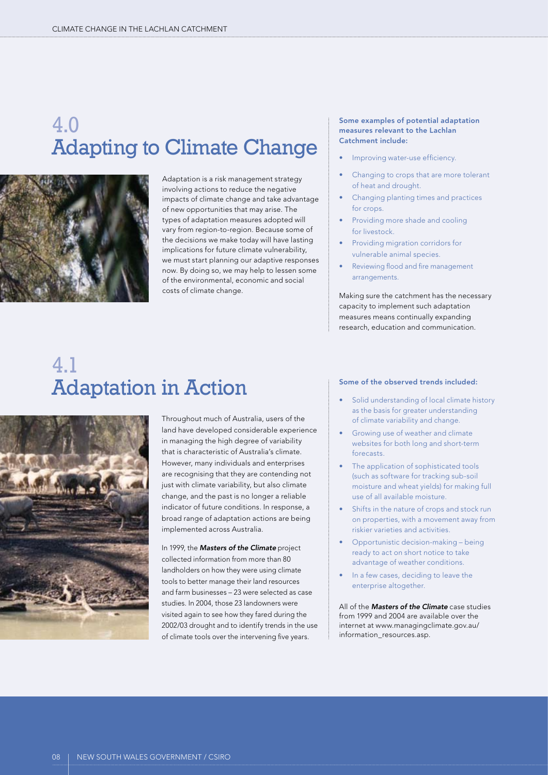# 4.0 Adapting to Climate Change



Adaptation is a risk management strategy involving actions to reduce the negative impacts of climate change and take advantage of new opportunities that may arise. The types of adaptation measures adopted will vary from region-to-region. Because some of the decisions we make today will have lasting implications for future climate vulnerability, we must start planning our adaptive responses now. By doing so, we may help to lessen some of the environmental, economic and social costs of climate change.

### Some examples of potential adaptation measures relevant to the Lachlan Catchment include:

- Improving water-use efficiency.
- Changing to crops that are more tolerant of heat and drought.
- Changing planting times and practices for crops.
- Providing more shade and cooling for livestock.
- Providing migration corridors for vulnerable animal species.
- Reviewing flood and fire management arrangements.

Making sure the catchment has the necessary capacity to implement such adaptation measures means continually expanding research, education and communication.

# 4.1 Adaptation in Action



Throughout much of Australia, users of the land have developed considerable experience in managing the high degree of variability that is characteristic of Australia's climate. However, many individuals and enterprises are recognising that they are contending not just with climate variability, but also climate change, and the past is no longer a reliable indicator of future conditions. In response, a broad range of adaptation actions are being implemented across Australia.

In 1999, the *Masters of the Climate* project collected information from more than 80 landholders on how they were using climate tools to better manage their land resources and farm businesses – 23 were selected as case studies. In 2004, those 23 landowners were visited again to see how they fared during the 2002/03 drought and to identify trends in the use of climate tools over the intervening five years.

#### Some of the observed trends included:

- Solid understanding of local climate history as the basis for greater understanding of climate variability and change.
- Growing use of weather and climate websites for both long and short-term forecasts.
- The application of sophisticated tools (such as software for tracking sub-soil moisture and wheat yields) for making full use of all available moisture.
- Shifts in the nature of crops and stock run on properties, with a movement away from riskier varieties and activities.
- Opportunistic decision-making being ready to act on short notice to take advantage of weather conditions.
- In a few cases, deciding to leave the enterprise altogether.

All of the *Masters of the Climate* case studies from 1999 and 2004 are available over the internet at www.managingclimate.gov.au/ information\_resources.asp.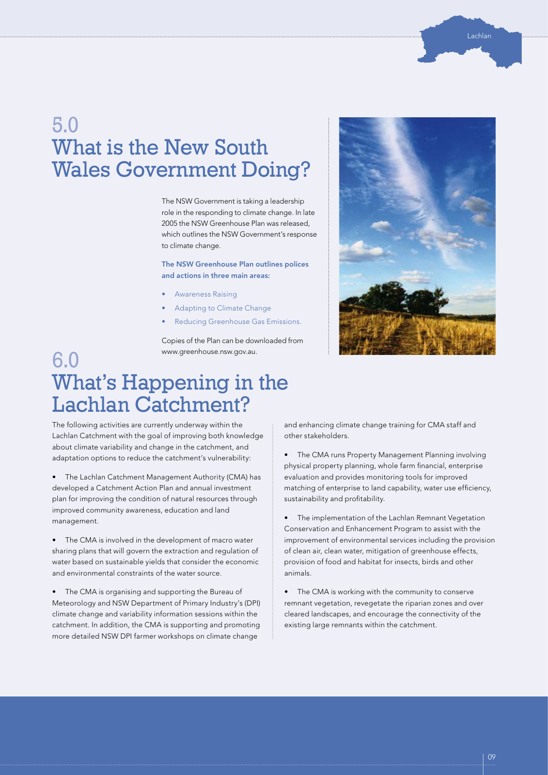# 5.0 What is the New South Wales Government Doing?

The NSW Government is taking a leadership role in the responding to climate change. In late 2005 the NSW Greenhouse Plan was released, which outlines the NSW Government's response to climate change.

The NSW Greenhouse Plan outlines polices and actions in three main areas:

- Awareness Raising
- Adapting to Climate Change
- Reducing Greenhouse Gas Emissions.

Copies of the Plan can be downloaded from www.greenhouse.nsw.gov.au.



# What's Happening in the Lachlan Catchment?

The following activities are currently underway within the Lachlan Catchment with the goal of improving both knowledge about climate variability and change in the catchment, and adaptation options to reduce the catchment's vulnerability:

6.0

• The Lachlan Catchment Management Authority (CMA) has developed a Catchment Action Plan and annual investment plan for improving the condition of natural resources through improved community awareness, education and land management.

• The CMA is involved in the development of macro water sharing plans that will govern the extraction and regulation of water based on sustainable yields that consider the economic and environmental constraints of the water source.

• The CMA is organising and supporting the Bureau of Meteorology and NSW Department of Primary Industry's (DPI) climate change and variability information sessions within the catchment. In addition, the CMA is supporting and promoting more detailed NSW DPI farmer workshops on climate change

and enhancing climate change training for CMA staff and other stakeholders.

The CMA runs Property Management Planning involving physical property planning, whole farm financial, enterprise evaluation and provides monitoring tools for improved matching of enterprise to land capability, water use efficiency, sustainability and profitability.

The implementation of the Lachlan Remnant Vegetation Conservation and Enhancement Program to assist with the improvement of environmental services including the provision of clean air, clean water, mitigation of greenhouse effects, provision of food and habitat for insects, birds and other animals.

• The CMA is working with the community to conserve remnant vegetation, revegetate the riparian zones and over cleared landscapes, and encourage the connectivity of the existing large remnants within the catchment.